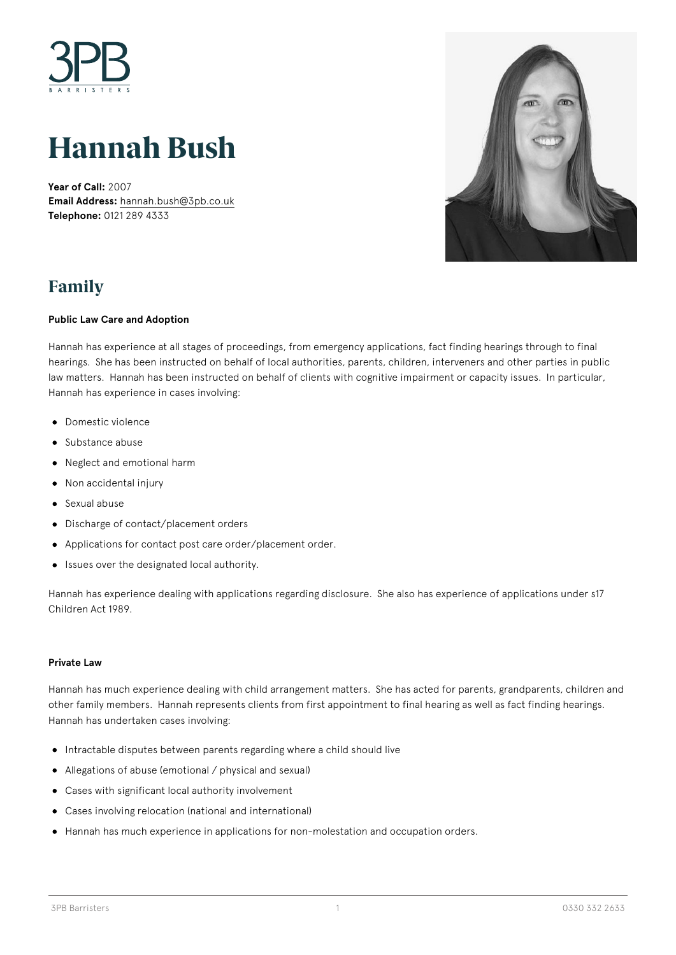

# **Hannah Bush**

**Year of Call:** 2007 **Email Address:** [hannah.bush@3pb.co.uk](mailto:hannah.bush@3pb.co.uk) **Telephone:** 0121 289 4333



### **Family**

#### **Public Law Care and Adoption**

Hannah has experience at all stages of proceedings, from emergency applications, fact finding hearings through to final hearings. She has been instructed on behalf of local authorities, parents, children, interveners and other parties in public law matters. Hannah has been instructed on behalf of clients with cognitive impairment or capacity issues. In particular, Hannah has experience in cases involving:

- Domestic violence
- Substance abuse
- Neglect and emotional harm
- Non accidental injury
- Sexual abuse
- Discharge of contact/placement orders
- Applications for contact post care order/placement order.
- Issues over the designated local authority.  $\bullet$

Hannah has experience dealing with applications regarding disclosure. She also has experience of applications under s17 Children Act 1989.

#### **Private Law**

Hannah has much experience dealing with child arrangement matters. She has acted for parents, grandparents, children and other family members. Hannah represents clients from first appointment to final hearing as well as fact finding hearings. Hannah has undertaken cases involving:

- $\bullet$  Intractable disputes between parents regarding where a child should live
- Allegations of abuse (emotional / physical and sexual)
- Cases with significant local authority involvement
- Cases involving relocation (national and international)
- Hannah has much experience in applications for non-molestation and occupation orders.